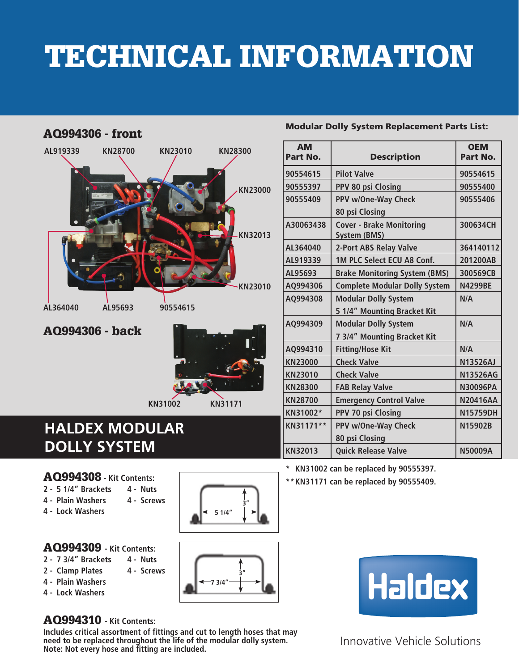# TECHNICAL INFORMATION



#### Modular Dolly System Replacement Parts List:

| <b>AM</b><br>Part No. | <b>Description</b>                                     | <b>OEM</b><br><b>Part No.</b> |
|-----------------------|--------------------------------------------------------|-------------------------------|
| 90554615              | <b>Pilot Valve</b>                                     | 90554615                      |
| 90555397              | PPV 80 psi Closing                                     | 90555400                      |
| 90555409              | PPV w/One-Way Check                                    | 90555406                      |
|                       | 80 psi Closing                                         |                               |
| A30063438             | <b>Cover - Brake Monitoring</b><br><b>System (BMS)</b> | 300634CH                      |
| AL364040              | 2-Port ABS Relay Valve                                 | 364140112                     |
| AL919339              | 1M PLC Select ECU A8 Conf.                             | 201200AB                      |
| AL95693               | <b>Brake Monitoring System (BMS)</b>                   | 300569CB                      |
| AQ994306              | <b>Complete Modular Dolly System</b>                   | <b>N4299BE</b>                |
| AQ994308              | <b>Modular Dolly System</b>                            | N/A                           |
|                       | 5 1/4" Mounting Bracket Kit                            |                               |
| AQ994309              | <b>Modular Dolly System</b>                            | N/A                           |
|                       | 7 3/4" Mounting Bracket Kit                            |                               |
| AQ994310              | <b>Fitting/Hose Kit</b>                                | N/A                           |
| <b>KN23000</b>        | <b>Check Valve</b>                                     | <b>N13526AJ</b>               |
| <b>KN23010</b>        | <b>Check Valve</b>                                     | <b>N13526AG</b>               |
| <b>KN28300</b>        | <b>FAB Relay Valve</b>                                 | N30096PA                      |
| <b>KN28700</b>        | <b>Emergency Control Valve</b>                         | <b>N20416AA</b>               |
| KN31002*              | PPV 70 psi Closing                                     | <b>N15759DH</b>               |
| KN31171**             | PPV w/One-Way Check                                    | N15902B                       |
|                       | 80 psi Closing                                         |                               |
| <b>KN32013</b>        | <b>Quick Release Valve</b>                             | <b>N50009A</b>                |

**\* KN31002 can be replaced by 90555397. \*\*KN31171 can be replaced by 90555409.**

# **HALDEX MODULAR DOLLY SYSTEM**

## AQ994308 **- Kit Contents:**

**2 - 5 1/4" Brackets 4 - Nuts**

AQ994306 - back

- **4 - Plain Washers 4 - Screws**
- **4 - Lock Washers**

## AQ994309 **- Kit Contents:**

- **2 - 7 3/4" Brackets 4 - Nuts**
- **2 - Clamp Plates 4 - Screws**
- **4 - Plain Washers**
- **4 - Lock Washers**

# AQ994310 **- Kit Contents:**

**Includes critical assortment of fittings and cut to length hoses that may need to be replaced throughout the life of the modular dolly system. Note: Not every hose and fitting are included.**



**KN31002 KN31171**





Innovative Vehicle Solutions